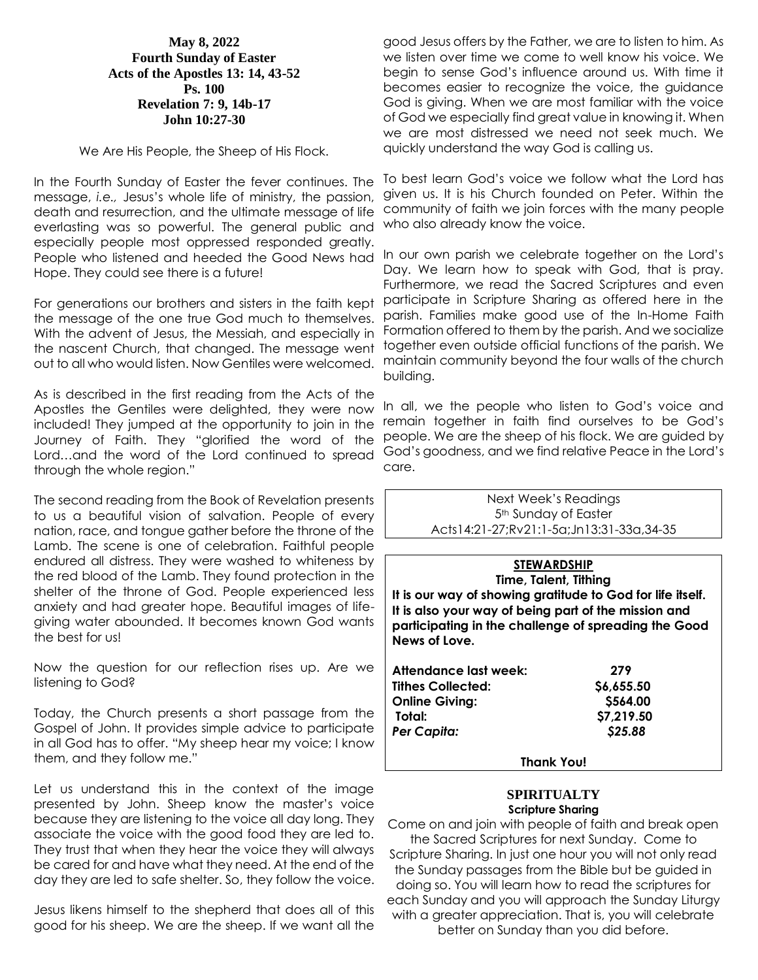## **May 8, 2022 Fourth Sunday of Easter Acts of the Apostles 13: 14, 43-52 Ps. 100 Revelation 7: 9, 14b-17 John 10:27-30**

We Are His People, the Sheep of His Flock.

In the Fourth Sunday of Easter the fever continues. The message, *i.e.,* Jesus's whole life of ministry, the passion, death and resurrection, and the ultimate message of life everlasting was so powerful. The general public and especially people most oppressed responded greatly. People who listened and heeded the Good News had Hope. They could see there is a future!

For generations our brothers and sisters in the faith kept the message of the one true God much to themselves. With the advent of Jesus, the Messiah, and especially in the nascent Church, that changed. The message went out to all who would listen. Now Gentiles were welcomed.

As is described in the first reading from the Acts of the Apostles the Gentiles were delighted, they were now included! They jumped at the opportunity to join in the Journey of Faith. They "glorified the word of the Lord…and the word of the Lord continued to spread God's goodness, and we find relative Peace in the Lord's through the whole region."

The second reading from the Book of Revelation presents to us a beautiful vision of salvation. People of every nation, race, and tongue gather before the throne of the Lamb. The scene is one of celebration. Faithful people endured all distress. They were washed to whiteness by the red blood of the Lamb. They found protection in the shelter of the throne of God. People experienced less anxiety and had greater hope. Beautiful images of lifegiving water abounded. It becomes known God wants the best for us!

Now the question for our reflection rises up. Are we listening to God?

Today, the Church presents a short passage from the Gospel of John. It provides simple advice to participate in all God has to offer. "My sheep hear my voice; I know them, and they follow me."

Let us understand this in the context of the image presented by John. Sheep know the master's voice because they are listening to the voice all day long. They associate the voice with the good food they are led to. They trust that when they hear the voice they will always be cared for and have what they need. At the end of the day they are led to safe shelter. So, they follow the voice.

Jesus likens himself to the shepherd that does all of this good for his sheep. We are the sheep. If we want all the

good Jesus offers by the Father, we are to listen to him. As we listen over time we come to well know his voice. We begin to sense God's influence around us. With time it becomes easier to recognize the voice, the guidance God is giving. When we are most familiar with the voice of God we especially find great value in knowing it. When we are most distressed we need not seek much. We quickly understand the way God is calling us.

To best learn God's voice we follow what the Lord has given us. It is his Church founded on Peter. Within the community of faith we join forces with the many people who also already know the voice.

In our own parish we celebrate together on the Lord's Day. We learn how to speak with God, that is pray. Furthermore, we read the Sacred Scriptures and even participate in Scripture Sharing as offered here in the parish. Families make good use of the In-Home Faith Formation offered to them by the parish. And we socialize together even outside official functions of the parish. We maintain community beyond the four walls of the church building.

In all, we the people who listen to God's voice and remain together in faith find ourselves to be God's people. We are the sheep of his flock. We are guided by care.

Next Week's Readings 5th Sunday of Easter Acts14:21-27;Rv21:1-5a;Jn13:31-33a,34-35

| <b>STEWARDSHIP</b><br>Time, Talent, Tithing<br>It is our way of showing gratitude to God for life itself.<br>It is also your way of being part of the mission and<br>participating in the challenge of spreading the Good |           |
|---------------------------------------------------------------------------------------------------------------------------------------------------------------------------------------------------------------------------|-----------|
| News of Love.                                                                                                                                                                                                             |           |
| Attendance last week:                                                                                                                                                                                                     | 279       |
| <b>Tithes Collected:</b>                                                                                                                                                                                                  | S6.655.50 |

| <b>Online Giving:</b> | \$564.00           |
|-----------------------|--------------------|
| Total:                | \$7,219.50         |
| Per Capita:           | S <sub>25.88</sub> |
|                       |                    |

**Thank You!**

#### **SPIRITUALTY Scripture Sharing**

Come on and join with people of faith and break open the Sacred Scriptures for next Sunday. Come to Scripture Sharing. In just one hour you will not only read the Sunday passages from the Bible but be guided in doing so. You will learn how to read the scriptures for each Sunday and you will approach the Sunday Liturgy with a greater appreciation. That is, you will celebrate better on Sunday than you did before.